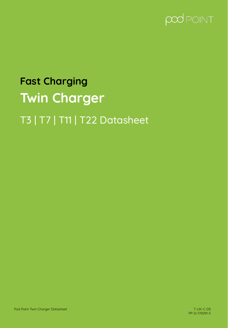

# **Fast Charging Twin Charger** T3 | T7 | T11 | T22 Datasheet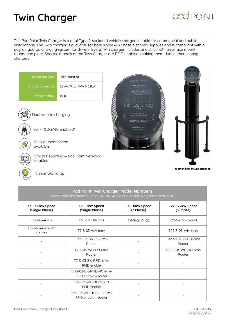

The Pod Point Twin Charger is a dual Type 2-socketed vehicle charger suitable for commercial and public installations. The Twin charger is available for both single & 3 Phase electrical supplies and is compliant with a pay-as-you-go charging system for drivers. Every Twin charger includes and ships with a surface mount foundation plate. Specific models of the Twin Charger are RFID enabled, making them dual authenticating chargers.

| Speed category<br>Charging speed (s)<br><b>Product family</b> | <b>Fast Charging</b><br>3.6kW, 7kW, 11kW & 22kW<br>Twin | <b>pod</b> POINT<br>I'm a Pod Point<br>and my name is:<br>Beck-Chip<br>PG-84206                                                                                                                                                                                                                                                                                |                             |
|---------------------------------------------------------------|---------------------------------------------------------|----------------------------------------------------------------------------------------------------------------------------------------------------------------------------------------------------------------------------------------------------------------------------------------------------------------------------------------------------------------|-----------------------------|
|                                                               | Dual vehicle charging                                   | Select<br>Confirm<br>Plug In<br>Cable<br>Pod Point<br>Charge<br>In App<br>$\blacktriangleright$ Superior $\mid$ <b>C</b> $\widehat{x_{\ell}}$ (see<br>B<br>Α<br>Download the app or go to:<br>charge.pod-point.com<br>Up to<br>Up to<br>7 <sub>kW</sub><br>7 <sub>kw</sub><br>Charge will stop if you do not<br>confirm within 15 minutes<br>www.pod-point.com |                             |
| available                                                     | Wi-Fi & 3G/4G enabled*<br>RFID authentication           | 0333 006 3503                                                                                                                                                                                                                                                                                                                                                  |                             |
| enabled                                                       | Smart Reporting & Pod Point Network                     |                                                                                                                                                                                                                                                                                                                                                                |                             |
| 3 Year Warranty                                               |                                                         |                                                                                                                                                                                                                                                                                                                                                                | Freestanding Mount attached |

| Pod Point Twin Charger Model Numbers                                           |  |
|--------------------------------------------------------------------------------|--|
| Please note the model number of Twin will determine the exact specs available. |  |

| T3 - 3.6kW Speed<br>(Single Phase) | T7 - 7kW Speed<br>(Single Phase)               | T11-11kW Speed<br>(3 Phase) | T22 - 22kW Speed<br>(3 Phase) |
|------------------------------------|------------------------------------------------|-----------------------------|-------------------------------|
| T3-S-6mA-02                        | T7-S-03-BK-6mA                                 | T11-S-6mA-02                | T22-S-03-BK-6mA               |
| T3-S-6mA -02-RO<br>Router          | T7-S-03-WH-6mA                                 | $\qquad \qquad -$           | T22-S-03-WH-6mA               |
|                                    | T7-S-03-BK-RO-6mA<br>Router                    |                             | T22-S-03-BK-RO-6mA<br>Router  |
| $\overline{\phantom{0}}$           | T7-S-03-WH-RO-6mA<br>Router                    |                             | T22-S-03-WH-RO-6mA<br>Router  |
|                                    | T7-S-03-BK-RFID-6mA<br>RFID enable             |                             |                               |
|                                    | T7-S-03-BK-RFID-RO-6mA<br>RFID enable + router |                             |                               |
|                                    | T7-S-03-WH-RFID-6mA<br>RFID enable             |                             |                               |
|                                    | T7-S-03-WH-RFID-RO-6mA<br>RFID enable + router |                             |                               |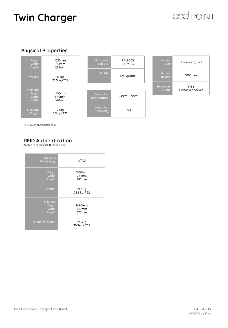### POINT

#### **Physical Properties**







(\*3G/4G on RO models only)

#### **RFID Authentication**

Applies to specific RIFD models only

| <b>RFID Card</b><br>Technology       | <b>NTAG</b>              |
|--------------------------------------|--------------------------|
| Height<br>Width<br>Depth             | 1330mm<br>241mm<br>295mm |
| Weight                               | 19.3 kg<br>22.8 kg-T22   |
| Shipping<br>Height<br>Width<br>Depth | 1480mm<br>340mm<br>370mm |
| Shipping Weight                      | 24.3kg<br>30.3kg - T22   |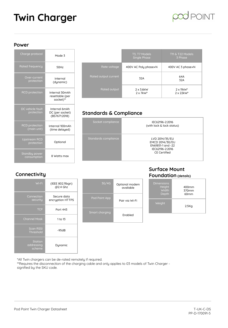

#### **Power**

| Charge protocol                      | Mode 3                                            |
|--------------------------------------|---------------------------------------------------|
| <b>Rated frequency</b>               | 50Hz                                              |
| Over-current<br>protection           | Internal<br>(dynamic)                             |
| <b>RCD</b> protection                | Internal 30mAh<br>resettable (per<br>socket)**    |
| DC vehicle fault<br>protection       | Internal 6mAh<br>DC (per socket)<br>(BS7671:2018) |
| <b>RCD</b> protection<br>(main unit) | Internal 100mAh<br>(time delayed)                 |
| <b>Upstream RCD</b><br>protection    | Optional                                          |
| Standby power<br>consumption         | 8 Watts max                                       |

|                      | T3, T7 Models<br><b>Single Phase</b>  | <b>T11 &amp; T22 Models</b><br>3 Phase      |
|----------------------|---------------------------------------|---------------------------------------------|
| Rate voltage         | 400V AC Poly phase+N                  | 400V AC 3 phase+N                           |
| Rated output current | 32A                                   | 64A<br>32A                                  |
| Rated output         | $2 \times 3.6$ kW<br>$2 \times 7$ kW* | $2 \times 11$ kW <sup>*</sup><br>2 x 22 kW* |

#### **Standards & Compliance**

| Socket compliance    | IEC62196-2:2016<br>(with lock & lock status)                                                     |
|----------------------|--------------------------------------------------------------------------------------------------|
| Standards compliance | LVD 2014/35/EU<br>EMCD 2014/30/EU<br>EN61851-1 and -22<br>IEC62196-2:2016<br><b>CE Certified</b> |

#### **Connectivity**

| (IEEE 802.11bgn)<br>@2.4 Ghz    | Wi-Fi                                  |
|---------------------------------|----------------------------------------|
| Secure data<br>encruption HTTPS | Connection<br>security                 |
| Port 443                        | <b>TCP</b>                             |
| 1 to 13                         | <b>Channel Mask</b>                    |
| $-95dB$                         | <b>Scan RSSI</b><br>Threshold          |
| Dynamic                         | <b>Station</b><br>addressing<br>scheme |

| 3G/4G          | Optional modem<br>available |
|----------------|-----------------------------|
| Pod Point App  | Pair via Wi-Fi              |
| Smart charging | <b>Fnabled</b>              |

#### **Surface Mount Foundation (details)**



\*All Twin chargers can be de-rated remotely if required.

\*\*Requires the disconnection of the charging cable and only applies to 03 models of Twin Charger signified by the SKU code.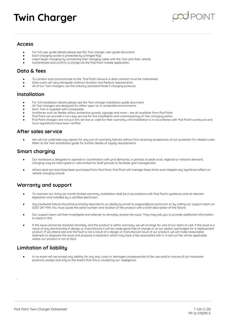

#### **Access**

- For full user guide details please see the Twin charger user guide document.
- Each charging socket is protected by a hinged flap.
- Users begin charging by connecting their charging cable with the Twin and their vehicle.
- Authenticate and confirm a charge via the Pod Point mobile application.

#### **Data & fees**

- To connect and communicate to the Pod Point network a data contract must be maintained.
- Data costs will vary alongside contract duration and feature requirements.
- All of our Twin chargers use the industry standard Mode 3 charging protocol.

#### **Installation**

- For full installation details please see the Twin charger installation guide document.
- All Twin chargers are designed for either open air or protected environments.
- Each Twin is supplied with a baseplate
- Ancillaries such as feeder pillars, protective guards, signage and more are all available from Pod Point.
- Pod Point can provide a turn-key service for the installation and commissioning of Twin charging points.
- Pod Point chargers are not put into service or valid for their warranty until installation is in accordance with Pod Point's protocols and local regulations have been verified.

#### **After sales service**

We will not undertake any repairs for any out-of-warranty failures without first receiving acceptance of our quotation for related costs. Refer to the Twin installation guide for further details of supply requirements.

#### **Smart charging**

- Our hardware is designed to operate in coordination with grid demands, in periods of peak local, regional or national demand, charging may be interrupted or rate-limited for brief periods to facilitate grid management.
- Where data services have been purchased from Pod Point, Pod Point will manage these limits and mitigate any significant effect on vehicle charging overall

#### **Warranty and support**

- To maintain our thirty-six-month limited warranty, installation shall be in accordance with Pod Point's guidance and all relevant legislation and installed by a certified electrician.
- Any hardware failure should be promptly reported to us, ideally by email to support@pod-point.com or by calling our support team on 0207 247 4114. You must quote the serial number and location of the product with a brief description of the failure.
- Our support team will then investigate and attempt to remotely resolve the issue. They may ask you to provide additional information to assist in this.
- If the issue cannot be resolved remotely, and the product is within warranty, we will arrange for one of our team to visit. If the issue is a result of any shortcoming in design or manufacture it will be made good free of charge or at our option, exchanged for a replacement product. If we attend site and the fault is not a result of a design or manufacture issue of our product, we will make reasonable attempts to diagnose the issue and propose a resolution which may have a fee associated with it. A call out fee will be applicable where our product is not at fault.

#### **Limitation of liability**

In no event will we accept any liability for any loss, costs or damages consequential of the use and/or misuse of our hardware products, except and only to the extent that this is caused by our negligence.

.